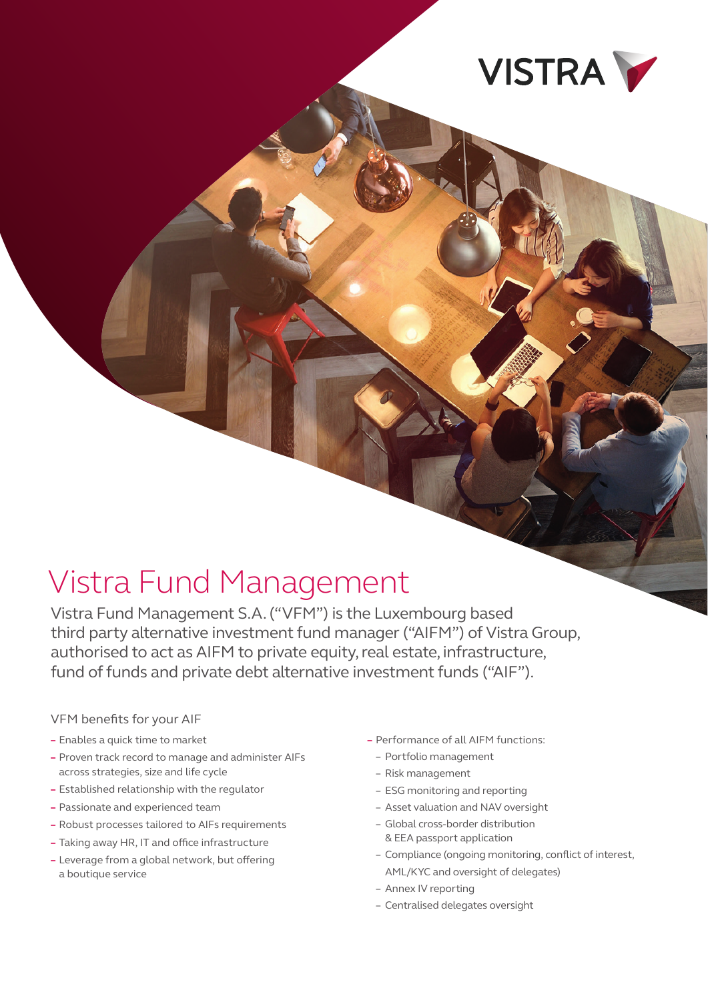

# Vistra Fund Management

Vistra Fund Management S.A. ("VFM") is the Luxembourg based third party alternative investment fund manager ("AIFM") of Vistra Group, authorised to act as AIFM to private equity, real estate, infrastructure, fund of funds and private debt alternative investment funds ("AIF").

#### VFM benefits for your AIF

- **–** Enables a quick time to market
- **–** Proven track record to manage and administer AIFs across strategies, size and life cycle
- **–** Established relationship with the regulator
- **–** Passionate and experienced team
- **–** Robust processes tailored to AIFs requirements
- **–** Taking away HR, IT and office infrastructure
- **–** Leverage from a global network, but offering a boutique service
- **–** Performance of all AIFM functions:
	- Portfolio management
	- Risk management
	- ESG monitoring and reporting
	- Asset valuation and NAV oversight
	- Global cross-border distribution & EEA passport application
	- Compliance (ongoing monitoring, conflict of interest, AML/KYC and oversight of delegates)
		-
	- Annex IV reporting
	- Centralised delegates oversight